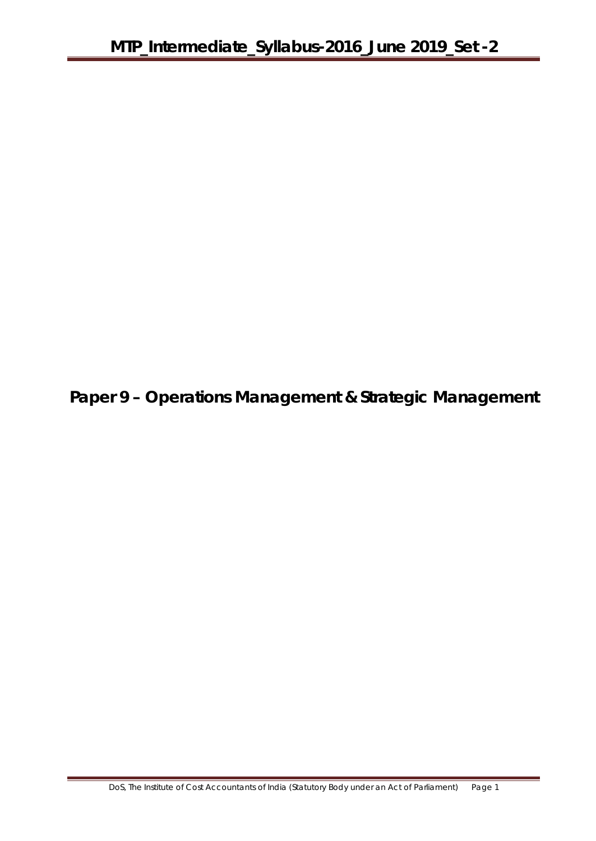**Paper 9 – Operations Management & Strategic Management**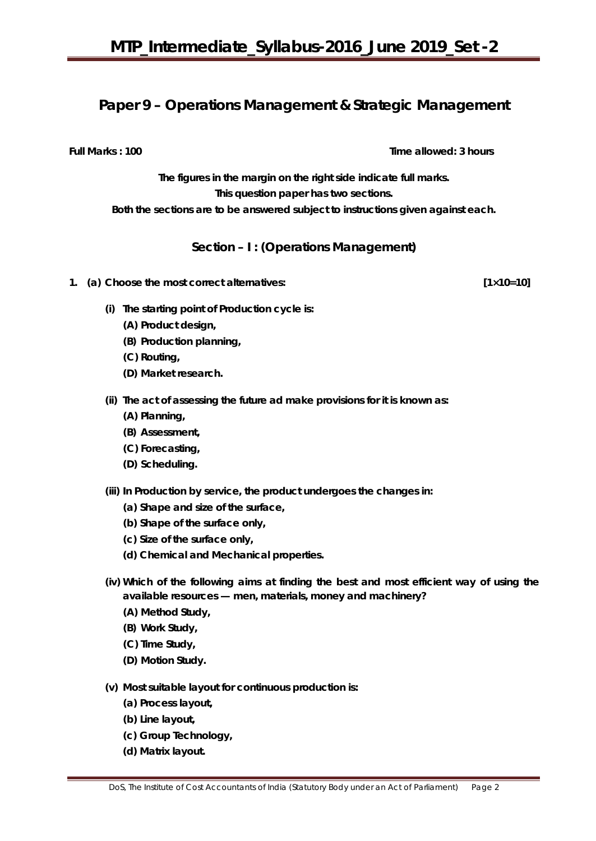## **Paper 9 – Operations Management & Strategic Management**

**Full Marks : 100** Time allowed: 3 hours

**The figures in the margin on the right side indicate full marks. This question paper has two sections. Both the sections are to be answered subject to instructions given against each.**

**Section – I : (Operations Management)**

- **1. (a) Choose the most correct alternatives: [1×10=10]** 
	- **(i) The starting point of Production cycle is:**
		- **(A) Product design,**
		- **(B) Production planning,**
		- **(C) Routing,**
		- **(D) Market research.**
	- **(ii) The act of assessing the future ad make provisions for it is known as:**
		- **(A) Planning,**
		- **(B) Assessment,**
		- **(C) Forecasting,**
		- **(D) Scheduling.**
	- **(iii) In Production by service, the product undergoes the changes in:**
		- **(a) Shape and size of the surface,**
		- **(b) Shape of the surface only,**
		- **(c) Size of the surface only,**
		- **(d) Chemical and Mechanical properties.**
	- **(iv) Which of the following aims at finding the best and most efficient way of using the available resources — men, materials, money and machinery?**
		- **(A) Method Study,**
		- **(B) Work Study,**
		- **(C) Time Study,**
		- **(D) Motion Study.**
	- **(v) Most suitable layout for continuous production is:**
		- **(a) Process layout,**
		- **(b) Line layout,**
		- **(c) Group Technology,**
		- **(d) Matrix layout.**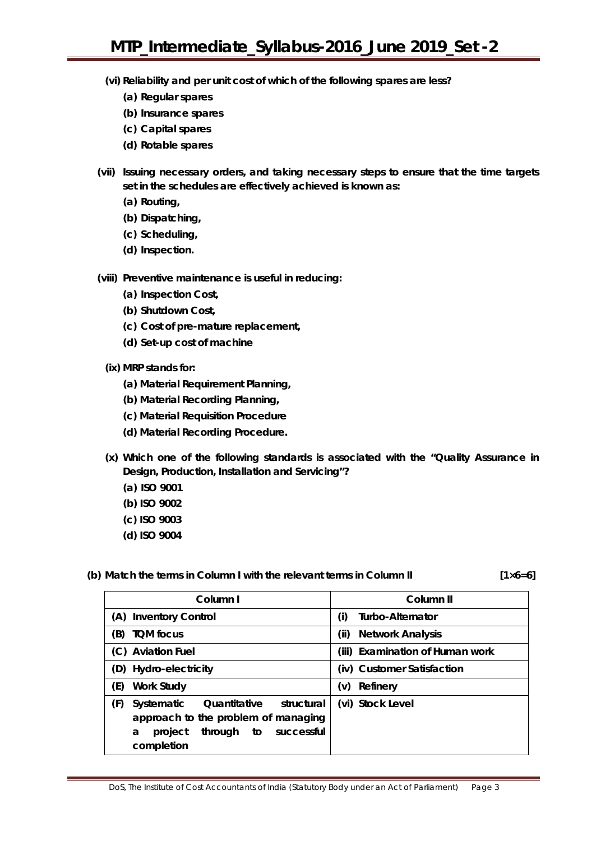- **(vi) Reliability and per unit cost of which of the following spares are less?**
	- **(a) Regular spares**
	- **(b) Insurance spares**
	- **(c) Capital spares**
	- **(d) Rotable spares**
- **(vii) Issuing necessary orders, and taking necessary steps to ensure that the time targets set in the schedules are effectively achieved is known as:**
	- **(a) Routing,**
	- **(b) Dispatching,**
	- **(c) Scheduling,**
	- **(d) Inspection.**
- **(viii) Preventive maintenance is useful in reducing:** 
	- **(a) Inspection Cost,**
	- **(b) Shutdown Cost,**
	- **(c) Cost of pre-mature replacement,**
	- **(d) Set-up cost of machine**
	- **(ix) MRP stands for:**
		- **(a) Material Requirement Planning,**
		- **(b) Material Recording Planning,**
		- **(c) Material Requisition Procedure**
		- **(d) Material Recording Procedure.**
	- **(x) Which one of the following standards is associated with the "Quality Assurance in Design, Production, Installation and Servicing"?** 
		- **(a) ISO 9001**
		- **(b) ISO 9002**
		- **(c) ISO 9003**
		- **(d) ISO 9004**

## (b) Match the terms in Column I with the relevant terms in Column II  $[1 \times 6=6]$

| Column I                                                                                                                                                   | Column <sub>II</sub>            |  |
|------------------------------------------------------------------------------------------------------------------------------------------------------------|---------------------------------|--|
| <b>Inventory Control</b><br>(A)                                                                                                                            | Turbo-Alternator<br>(i)         |  |
| <b>TOM focus</b><br>(B)                                                                                                                                    | <b>Network Analysis</b><br>(ii) |  |
| (C) Aviation Fuel                                                                                                                                          | (iii) Examination of Human work |  |
| (D) Hydro-electricity                                                                                                                                      | (iv) Customer Satisfaction      |  |
| (E)<br><b>Work Study</b>                                                                                                                                   | Refinery<br>(v)                 |  |
| (F)<br>structural<br>Quantitative<br><b>Systematic</b><br>approach to the problem of managing<br>successful<br>through<br>to<br>project<br>a<br>completion | (vi) Stock Level                |  |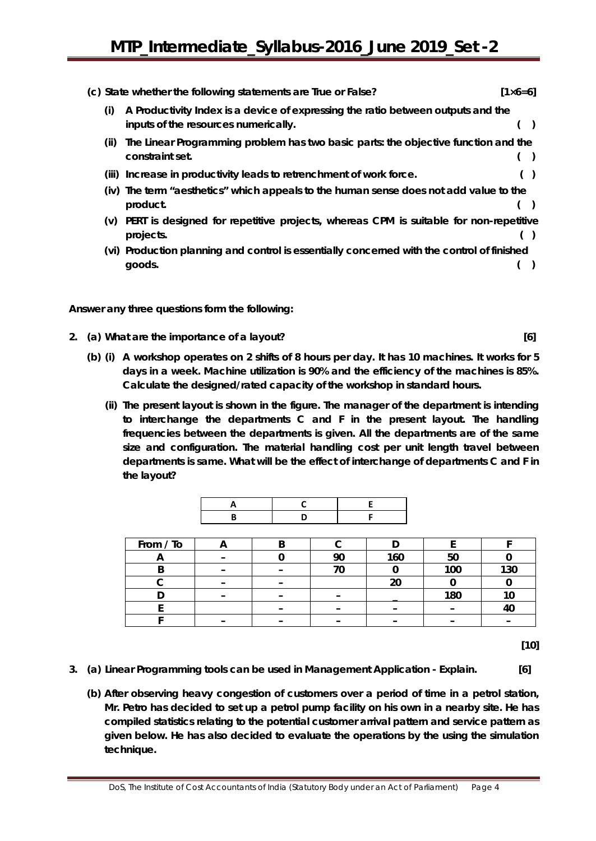|       | (c) State whether the following statements are True or False?                                                            | $[1 \times 6 = 6]$ |
|-------|--------------------------------------------------------------------------------------------------------------------------|--------------------|
| (i)   | A Productivity Index is a device of expressing the ratio between outputs and the<br>inputs of the resources numerically. |                    |
| (ii)  | The Linear Programming problem has two basic parts: the objective function and the<br>constraint set.                    |                    |
| (iii) | Increase in productivity leads to retrenchment of work force.                                                            |                    |
|       | (iv) The term "aesthetics" which appeals to the human sense does not add value to the<br>product.                        |                    |
| (v)   | PERT is designed for repetitive projects, whereas CPM is suitable for non-repetitive<br>projects.                        |                    |
|       | (vi) Production planning and control is essentially concerned with the control of finished<br>goods.                     |                    |

**Answer any** *three* **questions form the following:**

- **2. (a) What are the importance of a layout? [6]**
	- **(b) (i) A workshop operates on 2 shifts of 8 hours per day. It has 10 machines. It works for 5 days in a week. Machine utilization is 90% and the efficiency of the machines is 85%. Calculate the designed/rated capacity of the workshop in standard hours.** 
		- **(ii) The present layout is shown in the figure. The manager of the department is intending to interchange the departments C and F in the present layout. The handling frequencies between the departments is given. All the departments are of the same size and configuration. The material handling cost per unit length travel between departments is same. What will be the effect of interchange of departments C and F in the layout?**

| From / To |  |    |     |     |     |
|-----------|--|----|-----|-----|-----|
| r         |  | ററ | 160 | 50  |     |
|           |  |    |     | 100 | 130 |
|           |  |    | 20  |     |     |
|           |  |    |     | 180 |     |
|           |  |    |     |     |     |
|           |  |    |     |     |     |

**[10]**

- **3. (a) Linear Programming tools can be used in Management Application - Explain. [6]**
	- **(b) After observing heavy congestion of customers over a period of time in a petrol station, Mr. Petro has decided to set up a petrol pump facility on his own in a nearby site. He has compiled statistics relating to the potential customer arrival pattern and service pattern as given below. He has also decided to evaluate the operations by the using the simulation technique.**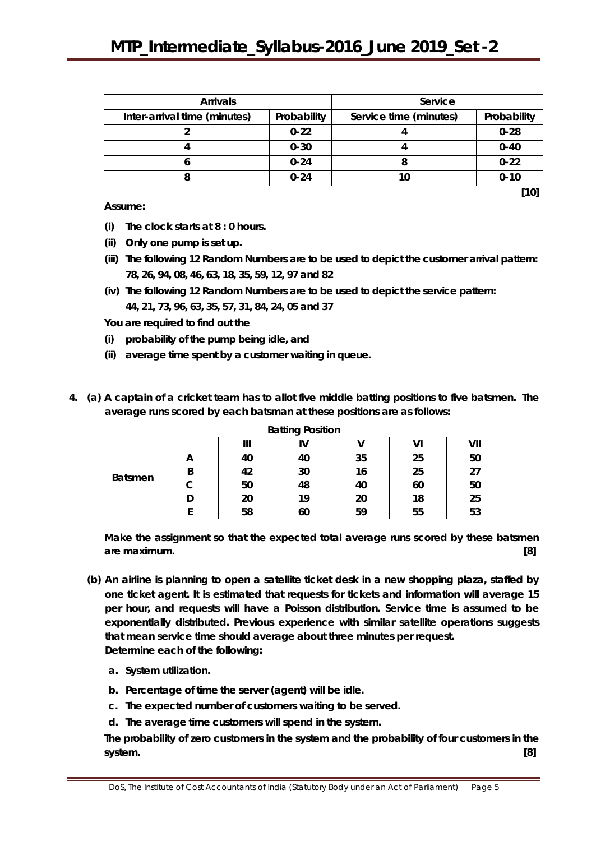| <b>Arrivals</b>              |             | Service                |             |  |
|------------------------------|-------------|------------------------|-------------|--|
| Inter-arrival time (minutes) | Probability | Service time (minutes) | Probability |  |
|                              | $0 - 22$    |                        | $0 - 28$    |  |
|                              | $0 - 30$    |                        | $0 - 40$    |  |
|                              | $0 - 24$    |                        | $0 - 22$    |  |
|                              | $0 - 24$    |                        | $0 - 10$    |  |
|                              |             |                        | [10]        |  |

**Assume:**

- **(i) The clock starts at 8 : 0 hours.**
- **(ii) Only one pump is set up.**
- **(iii) The following 12 Random Numbers are to be used to depict the customer arrival pattern: 78, 26, 94, 08, 46, 63, 18, 35, 59, 12, 97 and 82**
- **(iv) The following 12 Random Numbers are to be used to depict the service pattern: 44, 21, 73, 96, 63, 35, 57, 31, 84, 24, 05 and 37**

**You are required to find out the**

- **(i) probability of the pump being idle, and**
- **(ii) average time spent by a customer waiting in queue.**

| <b>Batting Position</b> |   |    |    |    |    |     |
|-------------------------|---|----|----|----|----|-----|
|                         |   | Ш  | V  |    | vı | VII |
|                         | A | 40 | 40 | 35 | 25 | 50  |
|                         | B | 42 | 30 | 16 | 25 | 27  |
| <b>Batsmen</b>          |   | 50 | 48 | 40 | 60 | 50  |
|                         |   | 20 | 19 | 20 | 18 | 25  |
|                         |   | 58 | 60 | 59 | 55 | 53  |

**4. (a) A captain of a cricket team has to allot five middle batting positions to five batsmen. The average runs scored by each batsman at these positions are as follows:**

**Make the assignment so that the expected total average runs scored by these batsmen are maximum. [8]**

- **(b) An airline is planning to open a satellite ticket desk in a new shopping plaza, staffed by one ticket agent. It is estimated that requests for tickets and information will average 15 per hour, and requests will have a Poisson distribution. Service time is assumed to be exponentially distributed. Previous experience with similar satellite operations suggests that mean service time should average about three minutes per request. Determine each of the following:**
	- **a. System utilization.**
	- **b. Percentage of time the server (agent) will be idle.**
	- **c. The expected number of customers waiting to be served.**
	- **d. The average time customers will spend in the system.**

**The probability of zero customers in the system and the probability of four customers in the system. [8]**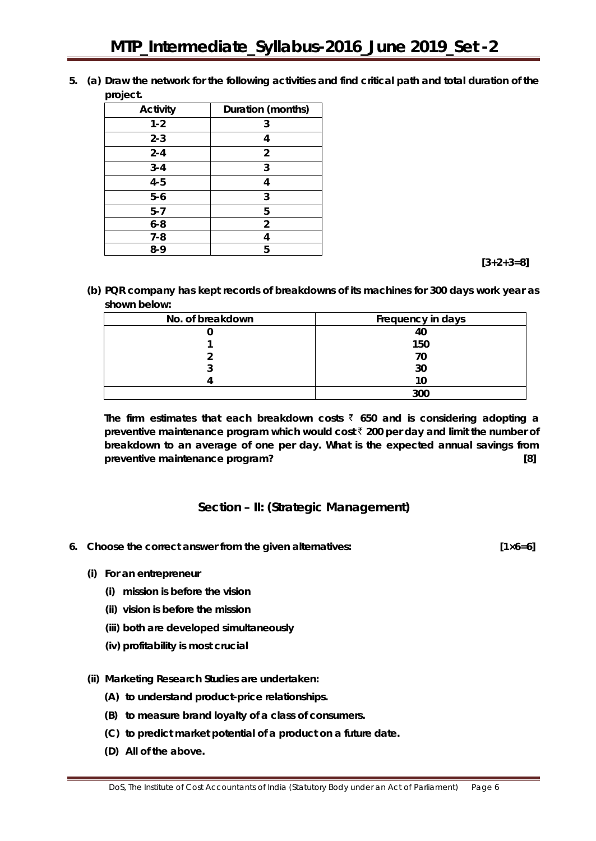**5. (a) Draw the network for the following activities and find critical path and total duration of the project.**

| Activity | Duration (months) |
|----------|-------------------|
| $1 - 2$  | 3                 |
| $2 - 3$  | 4                 |
| $2 - 4$  | $\overline{2}$    |
| $3 - 4$  | 3                 |
| $4 - 5$  | 4                 |
| $5-6$    | 3                 |
| $5 - 7$  | 5                 |
| $6 - 8$  | 2                 |
| $7 - 8$  | 4                 |
| $8-9$    | 5                 |

 **[3+2+3=8]**

**(b) PQR company has kept records of breakdowns of its machines for 300 days work year as shown below:**

| No. of breakdown | Frequency in days |
|------------------|-------------------|
|                  | 40                |
|                  | 150               |
|                  | 70                |
|                  | 30                |
|                  |                   |
|                  | חח?               |

The firm estimates that each breakdown costs  $\bar{\zeta}$  650 and is considering adopting a **preventive maintenance program which would cost** ` **200 per day and limit the number of breakdown to an average of one per day. What is the expected annual savings from preventive maintenance program? [8]**

## **Section – II: (Strategic Management)**

- **6. Choose the correct answer from the given alternatives: [1×6=6]**
	-

- **(i) For an entrepreneur**
	- **(i) mission is before the vision**
	- **(ii) vision is before the mission**
	- **(iii) both are developed simultaneously**
	- **(iv) profitability is most crucial**
- **(ii) Marketing Research Studies are undertaken:**
	- **(A) to understand product-price relationships.**
	- **(B) to measure brand loyalty of a class of consumers.**
	- **(C) to predict market potential of a product on a future date.**
	- **(D) All of the above.**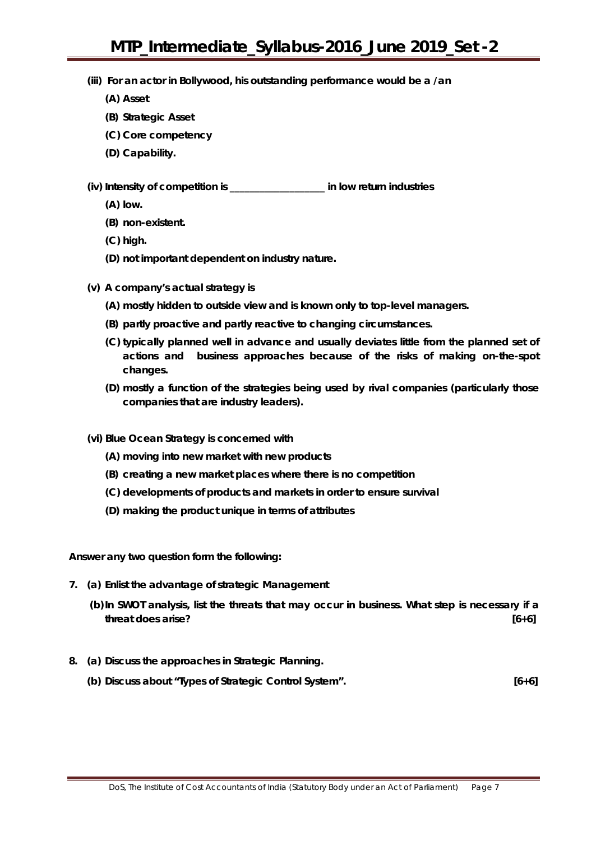- **(iii) For an actor in Bollywood, his outstanding performance would be a /an**
	- **(A) Asset**
	- **(B) Strategic Asset**
	- **(C) Core competency**
	- **(D) Capability.**

**(iv) Intensity of competition is \_\_\_\_\_\_\_\_\_\_\_\_\_\_\_\_\_\_\_ in low return industries**

- **(A) low.**
- **(B) non-existent.**
- **(C) high.**
- **(D) not important dependent on industry nature.**
- **(v) A company's actual strategy is**
	- **(A) mostly hidden to outside view and is known only to top-level managers.**
	- **(B) partly proactive and partly reactive to changing circumstances.**
	- **(C) typically planned well in advance and usually deviates little from the planned set of actions and business approaches because of the risks of making on-the-spot changes.**
	- **(D) mostly a function of the strategies being used by rival companies (particularly those companies that are industry leaders).**
- **(vi) Blue Ocean Strategy is concerned with**
	- **(A) moving into new market with new products**
	- **(B) creating a new market places where there is no competition**
	- **(C) developments of products and markets in order to ensure survival**
	- **(D) making the product unique in terms of attributes**

**Answer any** *two* **question form the following:**

- **7. (a) Enlist the advantage of strategic Management**
	- **(b)In SWOT analysis, list the threats that may occur in business. What step is necessary if a threat does arise? [6+6]**
- **8. (a) Discuss the approaches in Strategic Planning.**
	- **(b) Discuss about "Types of Strategic Control System". [6+6]**